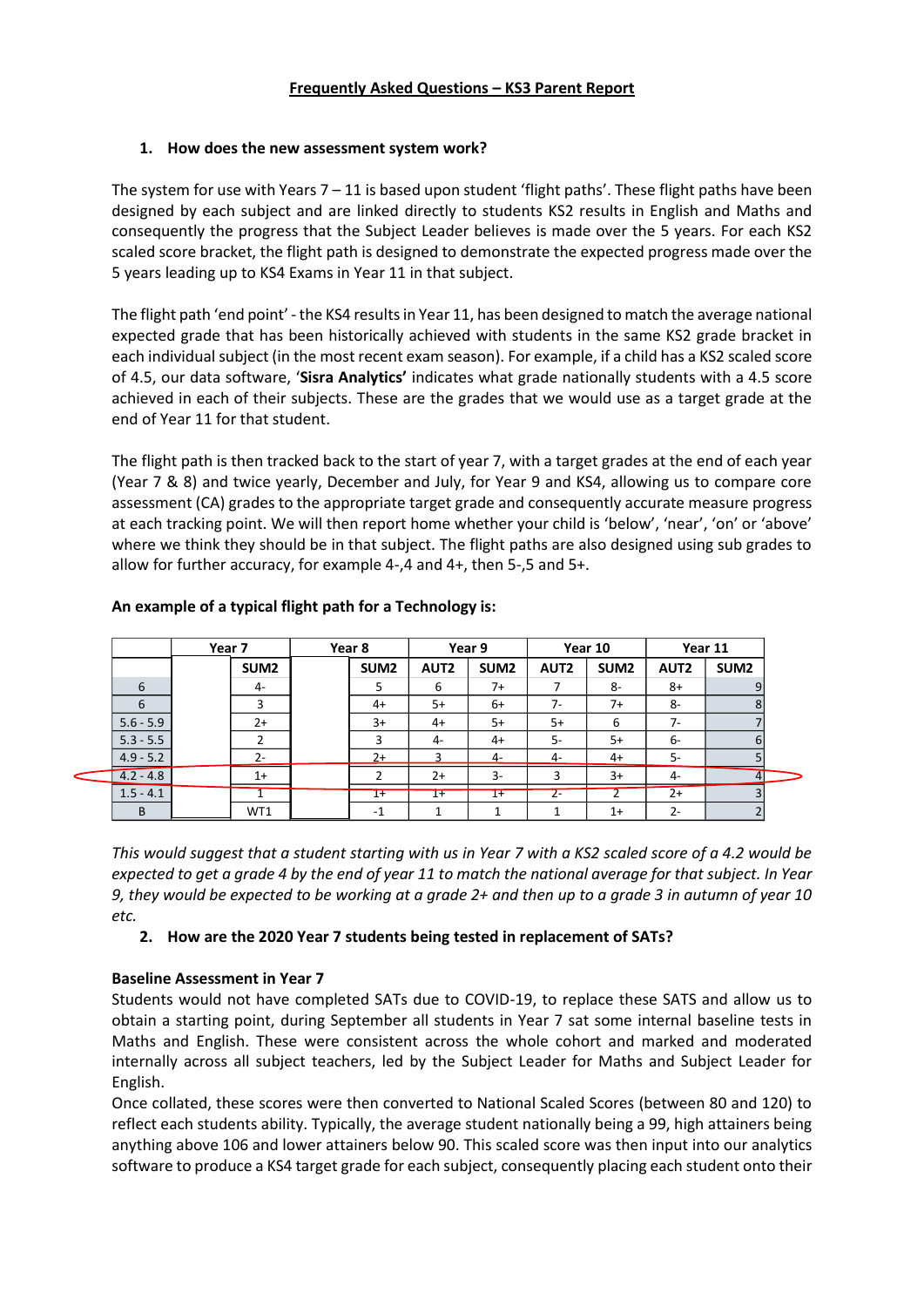### **Frequently Asked Questions – KS3 Parent Report**

### **1. How does the new assessment system work?**

The system for use with Years  $7 - 11$  is based upon student 'flight paths'. These flight paths have been designed by each subject and are linked directly to students KS2 results in English and Maths and consequently the progress that the Subject Leader believes is made over the 5 years. For each KS2 scaled score bracket, the flight path is designed to demonstrate the expected progress made over the 5 years leading up to KS4 Exams in Year 11 in that subject.

The flight path 'end point' -the KS4 results in Year 11, has been designed to match the average national expected grade that has been historically achieved with students in the same KS2 grade bracket in each individual subject (in the most recent exam season). For example, if a child has a KS2 scaled score of 4.5, our data software, '**Sisra Analytics'** indicates what grade nationally students with a 4.5 score achieved in each of their subjects. These are the grades that we would use as a target grade at the end of Year 11 for that student.

The flight path is then tracked back to the start of year 7, with a target grades at the end of each year (Year 7 & 8) and twice yearly, December and July, for Year 9 and KS4, allowing us to compare core assessment (CA) grades to the appropriate target grade and consequently accurate measure progress at each tracking point. We will then report home whether your child is 'below', 'near', 'on' or 'above' where we think they should be in that subject. The flight paths are also designed using sub grades to allow for further accuracy, for example 4-,4 and 4+, then 5-,5 and 5+.

|             | Year 7 |                  | Year 8 |                  | Year 9           |                  | Year 10          |                  | Year 11     |                  |
|-------------|--------|------------------|--------|------------------|------------------|------------------|------------------|------------------|-------------|------------------|
|             |        | SUM <sub>2</sub> |        | SUM <sub>2</sub> | AUT <sub>2</sub> | SUM <sub>2</sub> | AUT <sub>2</sub> | SUM <sub>2</sub> | <b>AUT2</b> | SUM <sub>2</sub> |
| 6           |        | $4-$             |        |                  | 6                | 7+               |                  | 8-               | $8+$        | 9                |
| 6           |        | 3                |        | $4+$             | $5+$             | $6+$             | $7-$             | $7+$             | 8-          | 8                |
| $5.6 - 5.9$ |        | $2+$             |        | $3+$             | $4+$             | $5+$             | $5+$             | 6                | $7-$        |                  |
| $5.3 - 5.5$ |        | $\mathcal{P}$    |        | 3                | $4-$             | $4+$             | 5-               | $5+$             | 6-          | 6                |
| $4.9 - 5.2$ |        | $2 -$            |        | $2+$             |                  | 4-               | 4-               | $4+$             | 5-          |                  |
| $4.2 - 4.8$ |        | $1+$             |        |                  | $2+$             | $3-$             | 3                | $3+$             | $4-$        | $\overline{a}$   |
| $1.5 - 4.1$ |        |                  |        | $1+$             | $1+$             | $1+$             | z-               |                  | $2+$        |                  |
| B           |        | WT1              |        | $-1$             |                  |                  |                  | $1+$             | $2 -$       |                  |

### **An example of a typical flight path for a Technology is:**

*This would suggest that a student starting with us in Year 7 with a KS2 scaled score of a 4.2 would be expected to get a grade 4 by the end of year 11 to match the national average for that subject. In Year 9, they would be expected to be working at a grade 2+ and then up to a grade 3 in autumn of year 10 etc.* 

**2. How are the 2020 Year 7 students being tested in replacement of SATs?** 

## **Baseline Assessment in Year 7**

 $\ddot{\phantom{0}}$ 

Students would not have completed SATs due to COVID-19, to replace these SATS and allow us to obtain a starting point, during September all students in Year 7 sat some internal baseline tests in Maths and English. These were consistent across the whole cohort and marked and moderated internally across all subject teachers, led by the Subject Leader for Maths and Subject Leader for English.

Once collated, these scores were then converted to National Scaled Scores (between 80 and 120) to reflect each students ability. Typically, the average student nationally being a 99, high attainers being anything above 106 and lower attainers below 90. This scaled score was then input into our analytics software to produce a KS4 target grade for each subject, consequently placing each student onto their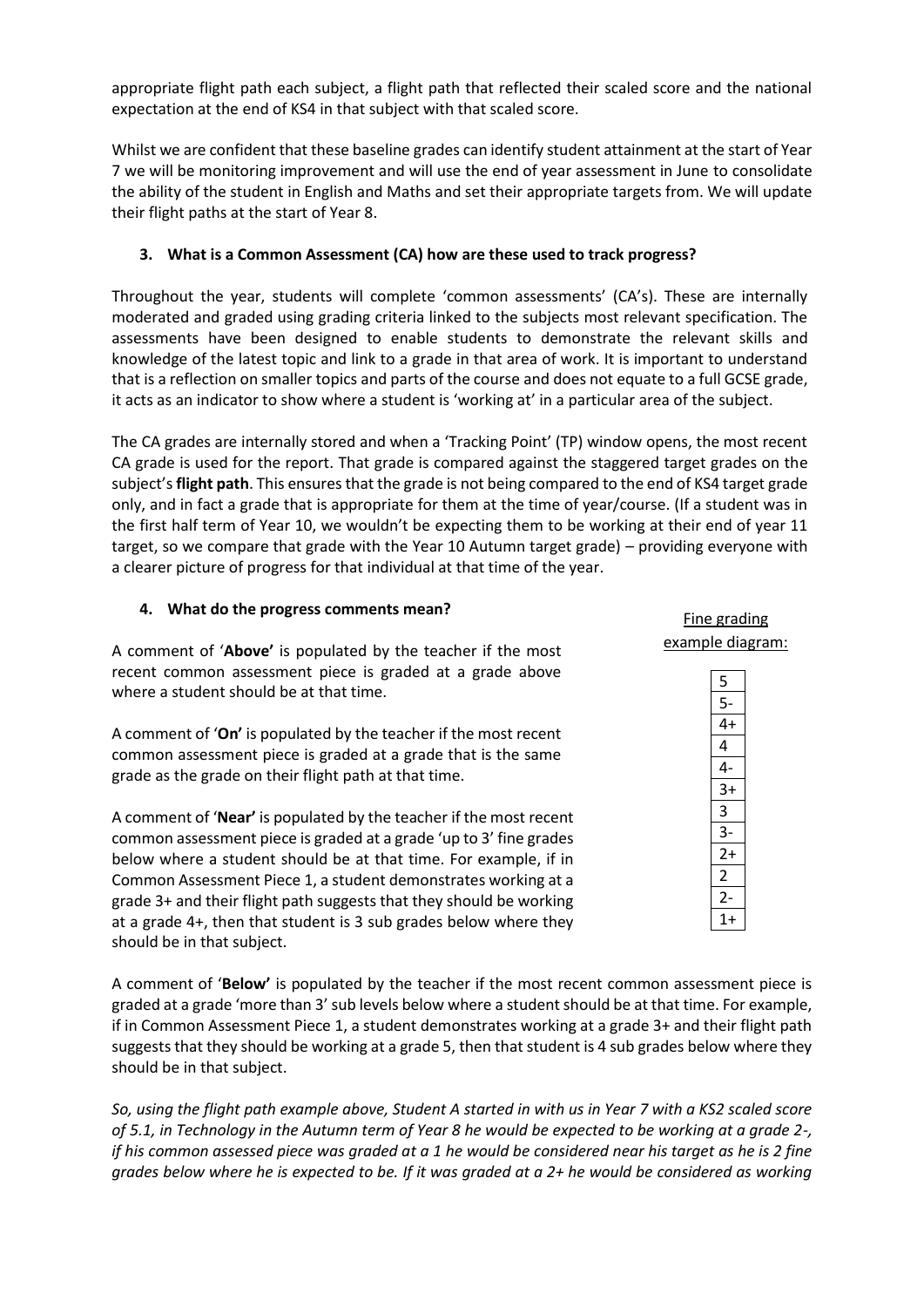appropriate flight path each subject, a flight path that reflected their scaled score and the national expectation at the end of KS4 in that subject with that scaled score.

Whilst we are confident that these baseline grades can identify student attainment at the start of Year 7 we will be monitoring improvement and will use the end of year assessment in June to consolidate the ability of the student in English and Maths and set their appropriate targets from. We will update their flight paths at the start of Year 8.

## **3. What is a Common Assessment (CA) how are these used to track progress?**

Throughout the year, students will complete 'common assessments' (CA's). These are internally moderated and graded using grading criteria linked to the subjects most relevant specification. The assessments have been designed to enable students to demonstrate the relevant skills and knowledge of the latest topic and link to a grade in that area of work. It is important to understand that is a reflection on smaller topics and parts of the course and does not equate to a full GCSE grade, it acts as an indicator to show where a student is 'working at' in a particular area of the subject.

The CA grades are internally stored and when a 'Tracking Point' (TP) window opens, the most recent CA grade is used for the report. That grade is compared against the staggered target grades on the subject's **flight path**. This ensures that the grade is not being compared to the end of KS4 target grade only, and in fact a grade that is appropriate for them at the time of year/course. (If a student was in the first half term of Year 10, we wouldn't be expecting them to be working at their end of year 11 target, so we compare that grade with the Year 10 Autumn target grade) – providing everyone with a clearer picture of progress for that individual at that time of the year.

#### **4. What do the progress comments mean?**

A comment of '**Above'** is populated by the teacher if the most recent common assessment piece is graded at a grade above where a student should be at that time.

A comment of '**On'** is populated by the teacher if the most recent common assessment piece is graded at a grade that is the same grade as the grade on their flight path at that time.

A comment of '**Near'** is populated by the teacher if the most recent common assessment piece is graded at a grade 'up to 3' fine grades below where a student should be at that time. For example, if in Common Assessment Piece 1, a student demonstrates working at a grade 3+ and their flight path suggests that they should be working at a grade 4+, then that student is 3 sub grades below where they should be in that subject.

A comment of '**Below'** is populated by the teacher if the most recent common assessment piece is graded at a grade 'more than 3' sub levels below where a student should be at that time. For example, if in Common Assessment Piece 1, a student demonstrates working at a grade 3+ and their flight path suggests that they should be working at a grade 5, then that student is 4 sub grades below where they should be in that subject.

*So, using the flight path example above, Student A started in with us in Year 7 with a KS2 scaled score of 5.1, in Technology in the Autumn term of Year 8 he would be expected to be working at a grade 2-, if his common assessed piece was graded at a 1 he would be considered near his target as he is 2 fine grades below where he is expected to be. If it was graded at a 2+ he would be considered as working* 

| example diagram: |                                                |  |
|------------------|------------------------------------------------|--|
|                  | $\overline{\mathbf{5}}$                        |  |
|                  |                                                |  |
|                  | $rac{5-}{4+}$<br>$rac{4}{4-}$<br>$rac{4-}{3+}$ |  |
|                  |                                                |  |
|                  |                                                |  |
|                  |                                                |  |
|                  | $\frac{3}{3}$<br>$\frac{3}{2}$                 |  |
|                  |                                                |  |
|                  |                                                |  |
|                  | $\overline{2}$                                 |  |
|                  | $\frac{2}{1+}$                                 |  |
|                  |                                                |  |
|                  |                                                |  |

Fine grading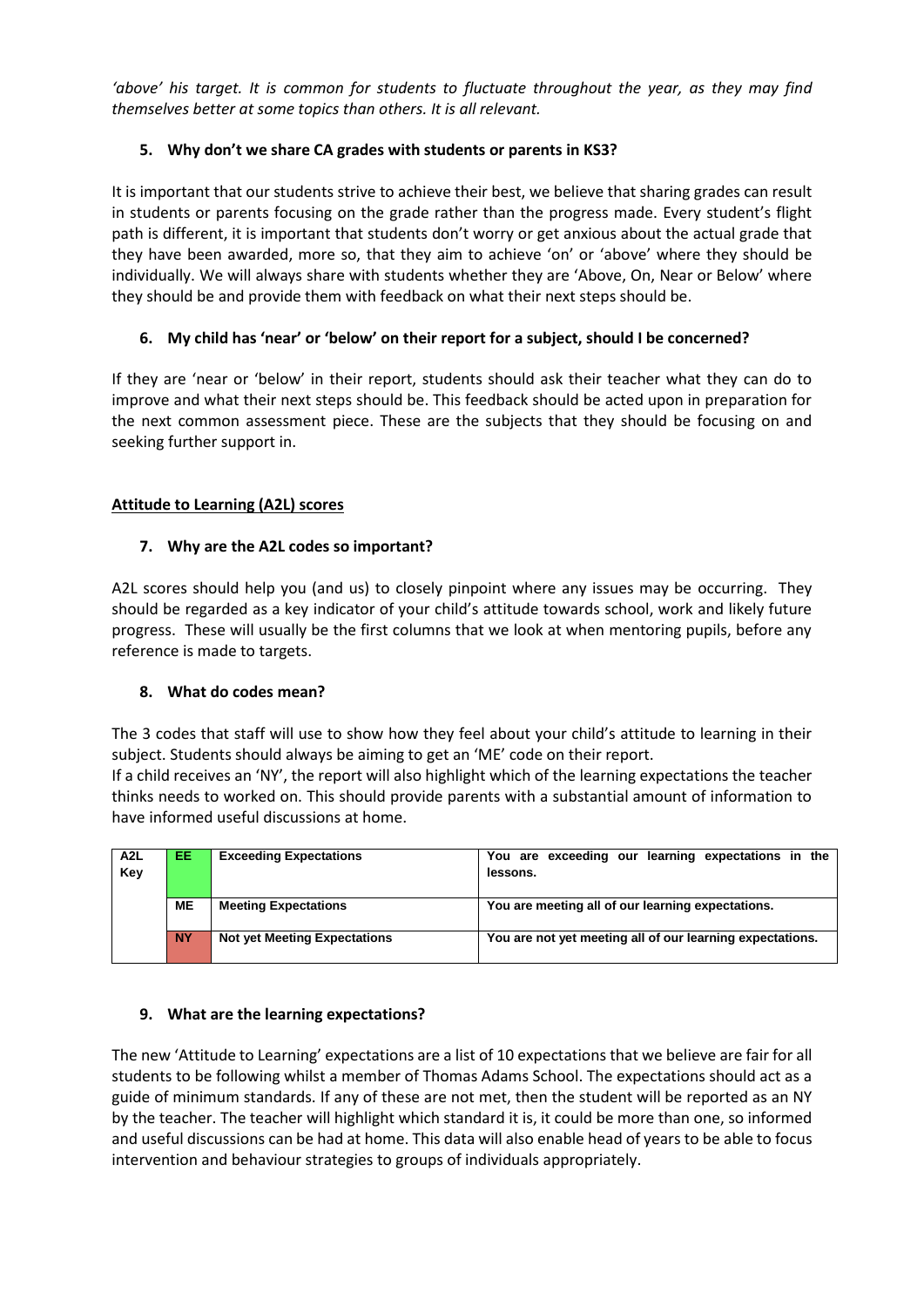*'above' his target. It is common for students to fluctuate throughout the year, as they may find themselves better at some topics than others. It is all relevant.* 

# **5. Why don't we share CA grades with students or parents in KS3?**

It is important that our students strive to achieve their best, we believe that sharing grades can result in students or parents focusing on the grade rather than the progress made. Every student's flight path is different, it is important that students don't worry or get anxious about the actual grade that they have been awarded, more so, that they aim to achieve 'on' or 'above' where they should be individually. We will always share with students whether they are 'Above, On, Near or Below' where they should be and provide them with feedback on what their next steps should be.

# **6. My child has 'near' or 'below' on their report for a subject, should I be concerned?**

If they are 'near or 'below' in their report, students should ask their teacher what they can do to improve and what their next steps should be. This feedback should be acted upon in preparation for the next common assessment piece. These are the subjects that they should be focusing on and seeking further support in.

# **Attitude to Learning (A2L) scores**

# **7. Why are the A2L codes so important?**

A2L scores should help you (and us) to closely pinpoint where any issues may be occurring. They should be regarded as a key indicator of your child's attitude towards school, work and likely future progress. These will usually be the first columns that we look at when mentoring pupils, before any reference is made to targets.

## **8. What do codes mean?**

The 3 codes that staff will use to show how they feel about your child's attitude to learning in their subject. Students should always be aiming to get an 'ME' code on their report.

If a child receives an 'NY', the report will also highlight which of the learning expectations the teacher thinks needs to worked on. This should provide parents with a substantial amount of information to have informed useful discussions at home.

| A2L<br>Key | EE        | <b>Exceeding Expectations</b>       | You are exceeding our learning expectations in the<br>lessons. |  |  |  |  |  |
|------------|-----------|-------------------------------------|----------------------------------------------------------------|--|--|--|--|--|
|            | MЕ        | <b>Meeting Expectations</b>         | You are meeting all of our learning expectations.              |  |  |  |  |  |
|            | <b>NY</b> | <b>Not yet Meeting Expectations</b> | You are not yet meeting all of our learning expectations.      |  |  |  |  |  |

## **9. What are the learning expectations?**

The new 'Attitude to Learning' expectations are a list of 10 expectations that we believe are fair for all students to be following whilst a member of Thomas Adams School. The expectations should act as a guide of minimum standards. If any of these are not met, then the student will be reported as an NY by the teacher. The teacher will highlight which standard it is, it could be more than one, so informed and useful discussions can be had at home. This data will also enable head of years to be able to focus intervention and behaviour strategies to groups of individuals appropriately.